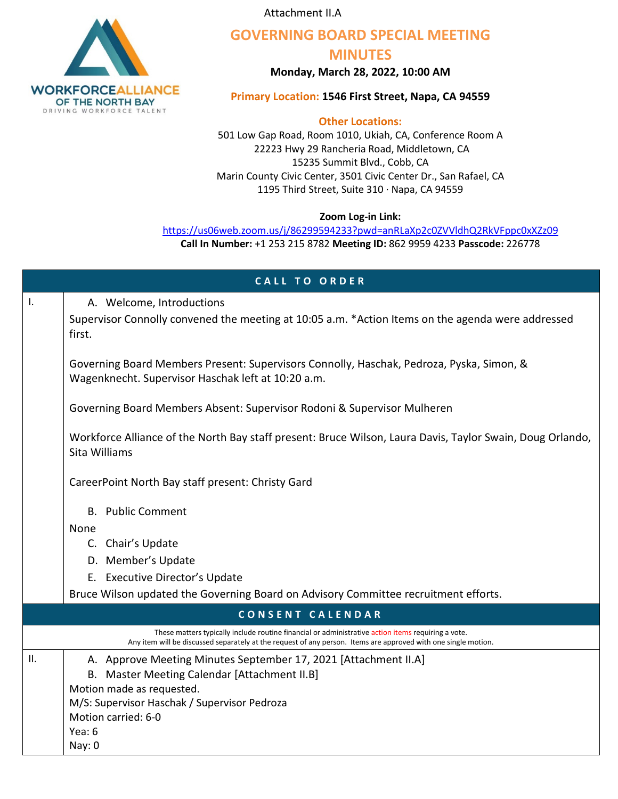

Attachment II.A

# **GOVERNING BOARD SPECIAL MEETING**

**MINUTES**

**Monday, March 28, 2022, 10:00 AM**

#### **Primary Location: 1546 First Street, Napa, CA 94559**

#### **Other Locations:**

501 Low Gap Road, Room 1010, Ukiah, CA, Conference Room A 22223 Hwy 29 Rancheria Road, Middletown, CA 15235 Summit Blvd., Cobb, CA Marin County Civic Center, 3501 Civic Center Dr., San Rafael, CA 1195 Third Street, Suite 310 · Napa, CA 94559

#### **Zoom Log-in Link:**

<https://us06web.zoom.us/j/86299594233?pwd=anRLaXp2c0ZVVldhQ2RkVFppc0xXZz09> **Call In Number:** +1 253 215 8782 **Meeting ID:** 862 9959 4233 **Passcode:** 226778

| <b>CALL TO ORDER</b> |                                                                                                                                                                                                                                         |  |
|----------------------|-----------------------------------------------------------------------------------------------------------------------------------------------------------------------------------------------------------------------------------------|--|
| Ι.                   | A. Welcome, Introductions<br>Supervisor Connolly convened the meeting at 10:05 a.m. *Action Items on the agenda were addressed<br>first.                                                                                                |  |
|                      | Governing Board Members Present: Supervisors Connolly, Haschak, Pedroza, Pyska, Simon, &<br>Wagenknecht. Supervisor Haschak left at 10:20 a.m.                                                                                          |  |
|                      | Governing Board Members Absent: Supervisor Rodoni & Supervisor Mulheren                                                                                                                                                                 |  |
|                      | Workforce Alliance of the North Bay staff present: Bruce Wilson, Laura Davis, Taylor Swain, Doug Orlando,<br>Sita Williams                                                                                                              |  |
|                      | CareerPoint North Bay staff present: Christy Gard                                                                                                                                                                                       |  |
|                      | <b>B.</b> Public Comment                                                                                                                                                                                                                |  |
|                      | None                                                                                                                                                                                                                                    |  |
|                      | C. Chair's Update                                                                                                                                                                                                                       |  |
|                      | D. Member's Update                                                                                                                                                                                                                      |  |
|                      | E. Executive Director's Update                                                                                                                                                                                                          |  |
|                      | Bruce Wilson updated the Governing Board on Advisory Committee recruitment efforts.                                                                                                                                                     |  |
|                      | CONSENT CALENDAR                                                                                                                                                                                                                        |  |
|                      | These matters typically include routine financial or administrative action items requiring a vote.<br>Any item will be discussed separately at the request of any person. Items are approved with one single motion.                    |  |
| ΙΙ.                  | A. Approve Meeting Minutes September 17, 2021 [Attachment II.A]<br>B. Master Meeting Calendar [Attachment II.B]<br>Motion made as requested.<br>M/S: Supervisor Haschak / Supervisor Pedroza<br>Motion carried: 6-0<br>Yea: 6<br>Nay: 0 |  |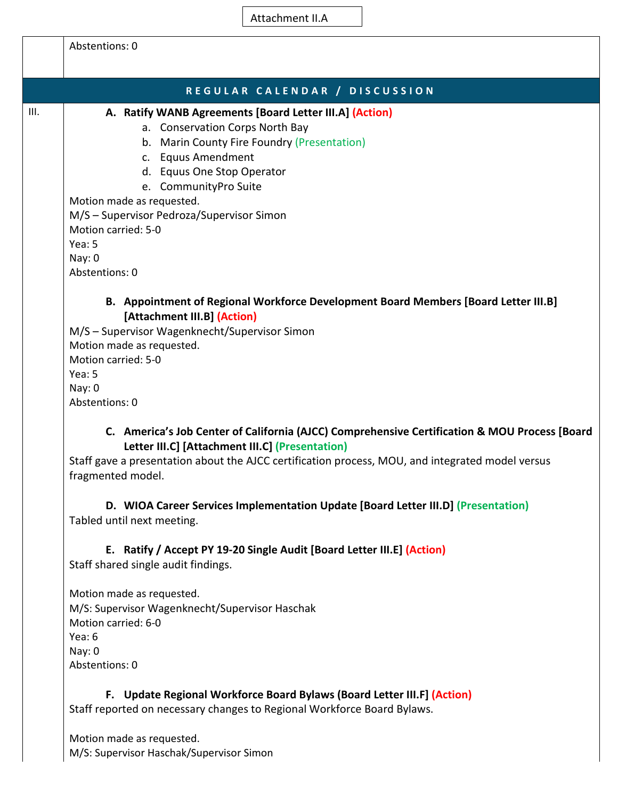Abstentions: 0

|      | REGULAR CALENDAR / DISCUSSION                                                                                      |
|------|--------------------------------------------------------------------------------------------------------------------|
| III. | A. Ratify WANB Agreements [Board Letter III.A] (Action)                                                            |
|      | a. Conservation Corps North Bay                                                                                    |
|      | b. Marin County Fire Foundry (Presentation)                                                                        |
|      | c. Equus Amendment                                                                                                 |
|      | d. Equus One Stop Operator                                                                                         |
|      | e. CommunityPro Suite                                                                                              |
|      | Motion made as requested.                                                                                          |
|      | M/S - Supervisor Pedroza/Supervisor Simon                                                                          |
|      | Motion carried: 5-0                                                                                                |
|      | Yea: 5                                                                                                             |
|      | Nay: 0                                                                                                             |
|      | Abstentions: 0                                                                                                     |
|      | B. Appointment of Regional Workforce Development Board Members [Board Letter III.B]<br>[Attachment III.B] (Action) |
|      | M/S - Supervisor Wagenknecht/Supervisor Simon                                                                      |
|      | Motion made as requested.                                                                                          |
|      | Motion carried: 5-0                                                                                                |
|      | Yea: 5                                                                                                             |
|      | Nay: $0$                                                                                                           |

Attachment II.A

Abstentions: 0

### **C. America's Job Center of California (AJCC) Comprehensive Certification & MOU Process [Board Letter III.C] [Attachment III.C] (Presentation)**

Staff gave a presentation about the AJCC certification process, MOU, and integrated model versus fragmented model.

**D. WIOA Career Services Implementation Update [Board Letter III.D] (Presentation)** Tabled until next meeting.

## **E. Ratify / Accept PY 19-20 Single Audit [Board Letter III.E] (Action)**

Staff shared single audit findings.

Motion made as requested. M/S: Supervisor Wagenknecht/Supervisor Haschak Motion carried: 6-0 Yea: 6 Nay: 0 Abstentions: 0

## **F. Update Regional Workforce Board Bylaws (Board Letter III.F] (Action)**

Staff reported on necessary changes to Regional Workforce Board Bylaws.

Motion made as requested. M/S: Supervisor Haschak/Supervisor Simon